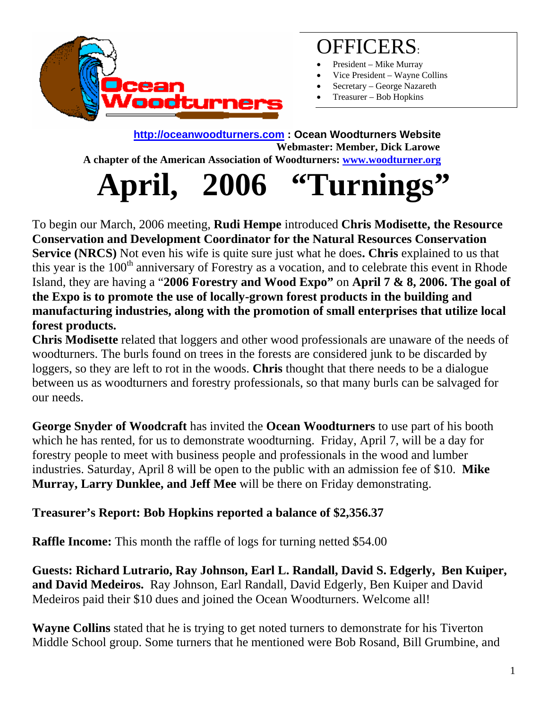

### OFFICERS:

- President Mike Murray
- Vice President Wayne Collins
- Secretary George Nazareth
- Treasurer Bob Hopkins

#### **[http://oceanwoodturners.com](http://oceanwoodturners.com/) : Ocean Woodturners Website Webmaster: Member, Dick Larowe A chapter of the American Association of Woodturners: [www.woodturner.org](http://www.woodturner.org/)**

# **April, 2006 "Turnings"**

To begin our March, 2006 meeting, **Rudi Hempe** introduced **Chris Modisette, the Resource Conservation and Development Coordinator for the Natural Resources Conservation Service (NRCS)** Not even his wife is quite sure just what he does**. Chris** explained to us that this year is the 100<sup>th</sup> anniversary of Forestry as a vocation, and to celebrate this event in Rhode Island, they are having a "**2006 Forestry and Wood Expo"** on **April 7 & 8, 2006. The goal of the Expo is to promote the use of locally-grown forest products in the building and manufacturing industries, along with the promotion of small enterprises that utilize local forest products.** 

**Chris Modisette** related that loggers and other wood professionals are unaware of the needs of woodturners. The burls found on trees in the forests are considered junk to be discarded by loggers, so they are left to rot in the woods. **Chris** thought that there needs to be a dialogue between us as woodturners and forestry professionals, so that many burls can be salvaged for our needs.

**George Snyder of Woodcraft** has invited the **Ocean Woodturners** to use part of his booth which he has rented, for us to demonstrate woodturning. Friday, April 7, will be a day for forestry people to meet with business people and professionals in the wood and lumber industries. Saturday, April 8 will be open to the public with an admission fee of \$10. **Mike Murray, Larry Dunklee, and Jeff Mee** will be there on Friday demonstrating.

#### **Treasurer's Report: Bob Hopkins reported a balance of \$2,356.37**

**Raffle Income:** This month the raffle of logs for turning netted \$54.00

**Guests: Richard Lutrario, Ray Johnson, Earl L. Randall, David S. Edgerly, Ben Kuiper, and David Medeiros.** Ray Johnson, Earl Randall, David Edgerly, Ben Kuiper and David Medeiros paid their \$10 dues and joined the Ocean Woodturners. Welcome all!

**Wayne Collins** stated that he is trying to get noted turners to demonstrate for his Tiverton Middle School group. Some turners that he mentioned were Bob Rosand, Bill Grumbine, and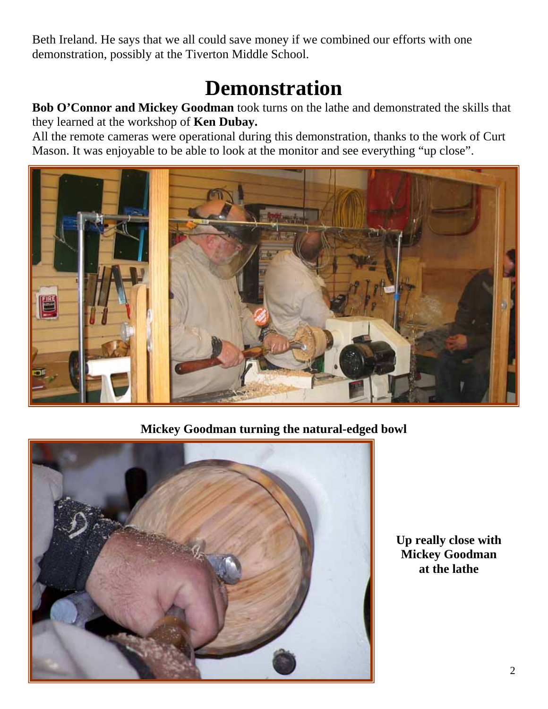Beth Ireland. He says that we all could save money if we combined our efforts with one demonstration, possibly at the Tiverton Middle School.

## **Demonstration**

**Bob O'Connor and Mickey Goodman** took turns on the lathe and demonstrated the skills that they learned at the workshop of **Ken Dubay.** 

All the remote cameras were operational during this demonstration, thanks to the work of Curt Mason. It was enjoyable to be able to look at the monitor and see everything "up close".



**Mickey Goodman turning the natural-edged bowl** 



**Up really close with Mickey Goodman at the lathe**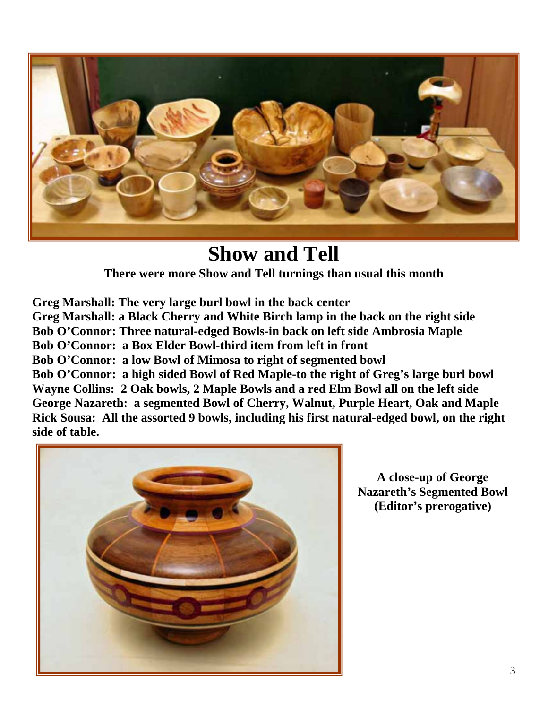

#### **Show and Tell**

**There were more Show and Tell turnings than usual this month** 

**Greg Marshall: The very large burl bowl in the back center Greg Marshall: a Black Cherry and White Birch lamp in the back on the right side Bob O'Connor: Three natural-edged Bowls-in back on left side Ambrosia Maple Bob O'Connor: a Box Elder Bowl-third item from left in front Bob O'Connor: a low Bowl of Mimosa to right of segmented bowl Bob O'Connor: a high sided Bowl of Red Maple-to the right of Greg's large burl bowl Wayne Collins: 2 Oak bowls, 2 Maple Bowls and a red Elm Bowl all on the left side George Nazareth: a segmented Bowl of Cherry, Walnut, Purple Heart, Oak and Maple Rick Sousa: All the assorted 9 bowls, including his first natural-edged bowl, on the right side of table.** 



**A close-up of George Nazareth's Segmented Bowl (Editor's prerogative)**